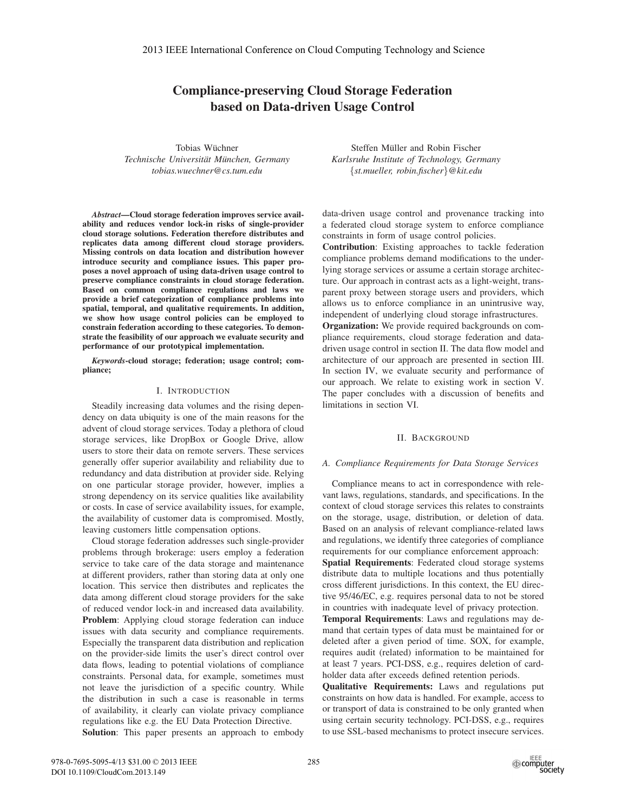# Compliance-preserving Cloud Storage Federation based on Data-driven Usage Control

Tobias Wüchner  $Technische University München, Germany$ *tobias.wuechner@cs.tum.edu*

*Abstract*—Cloud storage federation improves service availability and reduces vendor lock-in risks of single-provider cloud storage solutions. Federation therefore distributes and replicates data among different cloud storage providers. Missing controls on data location and distribution however introduce security and compliance issues. This paper proposes a novel approach of using data-driven usage control to preserve compliance constraints in cloud storage federation. Based on common compliance regulations and laws we provide a brief categorization of compliance problems into spatial, temporal, and qualitative requirements. In addition, we show how usage control policies can be employed to constrain federation according to these categories. To demonstrate the feasibility of our approach we evaluate security and performance of our prototypical implementation.

*Keywords*-cloud storage; federation; usage control; compliance;

## I. INTRODUCTION

Steadily increasing data volumes and the rising dependency on data ubiquity is one of the main reasons for the advent of cloud storage services. Today a plethora of cloud storage services, like DropBox or Google Drive, allow users to store their data on remote servers. These services generally offer superior availability and reliability due to redundancy and data distribution at provider side. Relying on one particular storage provider, however, implies a strong dependency on its service qualities like availability or costs. In case of service availability issues, for example, the availability of customer data is compromised. Mostly, leaving customers little compensation options.

Cloud storage federation addresses such single-provider problems through brokerage: users employ a federation service to take care of the data storage and maintenance at different providers, rather than storing data at only one location. This service then distributes and replicates the data among different cloud storage providers for the sake of reduced vendor lock-in and increased data availability. Problem: Applying cloud storage federation can induce issues with data security and compliance requirements. Especially the transparent data distribution and replication on the provider-side limits the user's direct control over data flows, leading to potential violations of compliance constraints. Personal data, for example, sometimes must not leave the jurisdiction of a specific country. While the distribution in such a case is reasonable in terms of availability, it clearly can violate privacy compliance regulations like e.g. the EU Data Protection Directive.

Solution: This paper presents an approach to embody

Steffen Müller and Robin Fischer *Karlsruhe Institute of Technology, Germany* {*st.mueller, robin.fischer*}*@kit.edu*

data-driven usage control and provenance tracking into a federated cloud storage system to enforce compliance constraints in form of usage control policies.

Contribution: Existing approaches to tackle federation compliance problems demand modifications to the underlying storage services or assume a certain storage architecture. Our approach in contrast acts as a light-weight, transparent proxy between storage users and providers, which allows us to enforce compliance in an unintrusive way, independent of underlying cloud storage infrastructures.

Organization: We provide required backgrounds on compliance requirements, cloud storage federation and datadriven usage control in section II. The data flow model and architecture of our approach are presented in section III. In section IV, we evaluate security and performance of our approach. We relate to existing work in section V. The paper concludes with a discussion of benefits and limitations in section VI.

# II. BACKGROUND

# *A. Compliance Requirements for Data Storage Services*

Compliance means to act in correspondence with relevant laws, regulations, standards, and specifications. In the context of cloud storage services this relates to constraints on the storage, usage, distribution, or deletion of data. Based on an analysis of relevant compliance-related laws and regulations, we identify three categories of compliance requirements for our compliance enforcement approach: Spatial Requirements: Federated cloud storage systems distribute data to multiple locations and thus potentially cross different jurisdictions. In this context, the EU directive 95/46/EC, e.g. requires personal data to not be stored

in countries with inadequate level of privacy protection. Temporal Requirements: Laws and regulations may demand that certain types of data must be maintained for or deleted after a given period of time. SOX, for example, requires audit (related) information to be maintained for at least 7 years. PCI-DSS, e.g., requires deletion of cardholder data after exceeds defined retention periods.

Qualitative Requirements: Laws and regulations put constraints on how data is handled. For example, access to or transport of data is constrained to be only granted when using certain security technology. PCI-DSS, e.g., requires to use SSL-based mechanisms to protect insecure services.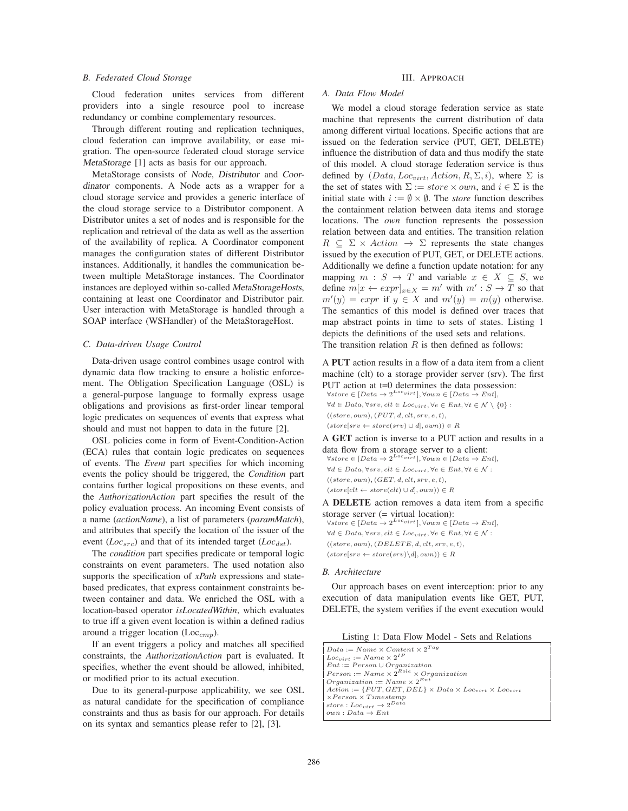# *B. Federated Cloud Storage*

Cloud federation unites services from different providers into a single resource pool to increase redundancy or combine complementary resources.

Through different routing and replication techniques, cloud federation can improve availability, or ease migration. The open-source federated cloud storage service MetaStorage [1] acts as basis for our approach.

MetaStorage consists of Node, Distributor and Coordinator components. A Node acts as a wrapper for a cloud storage service and provides a generic interface of the cloud storage service to a Distributor component. A Distributor unites a set of nodes and is responsible for the replication and retrieval of the data as well as the assertion of the availability of replica. A Coordinator component manages the configuration states of different Distributor instances. Additionally, it handles the communication between multiple MetaStorage instances. The Coordinator instances are deployed within so-called MetaStorageHosts, containing at least one Coordinator and Distributor pair. User interaction with MetaStorage is handled through a SOAP interface (WSHandler) of the MetaStorageHost.

# *C. Data-driven Usage Control*

Data-driven usage control combines usage control with dynamic data flow tracking to ensure a holistic enforcement. The Obligation Specification Language (OSL) is a general-purpose language to formally express usage obligations and provisions as first-order linear temporal logic predicates on sequences of events that express what should and must not happen to data in the future [2].

OSL policies come in form of Event-Condition-Action (ECA) rules that contain logic predicates on sequences of events. The *Event* part specifies for which incoming events the policy should be triggered, the *Condition* part contains further logical propositions on these events, and the *AuthorizationAction* part specifies the result of the policy evaluation process. An incoming Event consists of a name (*actionName*), a list of parameters (*paramMatch*), and attributes that specify the location of the issuer of the event  $(Loc<sub>src</sub>)$  and that of its intended target  $(Loc<sub>dst</sub>)$ .

The *condition* part specifies predicate or temporal logic constraints on event parameters. The used notation also supports the specification of *xPath* expressions and statebased predicates, that express containment constraints between container and data. We enriched the OSL with a location-based operator *isLocatedWithin*, which evaluates to true iff a given event location is within a defined radius around a trigger location (Loc $_{cmp}$ ).

If an event triggers a policy and matches all specified constraints, the *AuthorizationAction* part is evaluated. It specifies, whether the event should be allowed, inhibited, or modified prior to its actual execution.

Due to its general-purpose applicability, we see OSL as natural candidate for the specification of compliance constraints and thus as basis for our approach. For details on its syntax and semantics please refer to [2], [3].

# III. APPROACH

# *A. Data Flow Model*

We model a cloud storage federation service as state machine that represents the current distribution of data among different virtual locations. Specific actions that are issued on the federation service (PUT, GET, DELETE) influence the distribution of data and thus modify the state of this model. A cloud storage federation service is thus defined by  $(Data, Loc_{virt}, Action, R, \Sigma, i)$ , where  $\Sigma$  is the set of states with  $\Sigma := store \times own$ , and  $i \in \Sigma$  is the initial state with  $i := \emptyset \times \emptyset$ . The *store* function describes the containment relation between data items and storage locations. The *own* function represents the possession relation between data and entities. The transition relation  $R \subseteq \Sigma \times Action \rightarrow \Sigma$  represents the state changes issued by the execution of PUT, GET, or DELETE actions. Additionally we define a function update notation: for any mapping  $m : S \to T$  and variable  $x \in X \subseteq S$ , we define  $m[x \leftarrow expr]_{x \in X} = m'$  with  $m' : S \rightarrow T$  so that  $m'(y) = expr$  if  $y \in X$  and  $m'(y) = m(y)$  otherwise. The semantics of this model is defined over traces that map abstract points in time to sets of states. Listing 1 depicts the definitions of the used sets and relations. The transition relation  $R$  is then defined as follows:

A PUT action results in a flow of a data item from a client machine (clt) to a storage provider server (srv). The first PUT action at t=0 determines the data possession:

 $\forall store \in [Data \rightarrow 2^{Locvirt}], \forall own \in [Data \rightarrow Ent],$  $\forall d \in Data, \forall srv, clt \in Loc_{virt}, \forall e \in Ent, \forall t \in \mathcal{N} \setminus \{0\}$ :  $((store, own), (PUT, d, elt, srv, e, t),$  $(\mathit{store}[\mathit{srv} \leftarrow \mathit{store}(\mathit{srv}) \cup d], \mathit{own})) \in R$ 

A GET action is inverse to a PUT action and results in a data flow from a storage server to a client:

 $\forall store \in [Data \rightarrow 2^{Locvirt}]$ ,  $\forall own \in [Data \rightarrow Ent]$ ,  $\forall d \in Data, \forall srv, elt \in Loc_{virt}, \forall e \in Ent, \forall t \in \mathcal{N}$ :  $((store, own), (GET, d, elt, srv, e, t),$  $(store[clt \leftarrow store(clt) \cup d], own)) \in R$ 

A DELETE action removes a data item from a specific storage server (= virtual location):

 $\forall store \in [Data \rightarrow 2^{Locvirt}], \forall own \in [Data \rightarrow Ent],$  $\forall d \in Data, \forall srv, elt \in Loc_{virt}, \forall e \in Ent, \forall t \in \mathcal{N}$ :  $((store, own), (DELETE, d, elt, srv, e, t),$  $(\mathit{store}[\mathit{srv} \leftarrow \mathit{store}(\mathit{srv}) \backslash d], \mathit{own}) \in R$ 

#### *B. Architecture*

Our approach bases on event interception: prior to any execution of data manipulation events like GET, PUT, DELETE, the system verifies if the event execution would

| $Data := Name \times Content \times 2^{Tag}$                                                              |
|-----------------------------------------------------------------------------------------------------------|
| $\vert$ Loc <sub>virt</sub> := Name $\times 2^{IP}$                                                       |
| $Ent := Person \cup Organization$                                                                         |
| $Person := Name \times 2^{Role} \times Organization$                                                      |
| $\text{Organization} := \text{Name} \times 2^{Ent}$                                                       |
| $\vert$ Action := {PUT, GET, DEL} $\times$ Data $\times$ Loc <sub>virt</sub> $\times$ Loc <sub>virt</sub> |
| $\chi$ Person $\times$ Timestamp                                                                          |
| store: $Loc_{virt} \rightarrow 2^{Data}$                                                                  |
| $own: Data \rightarrow Ent$                                                                               |
|                                                                                                           |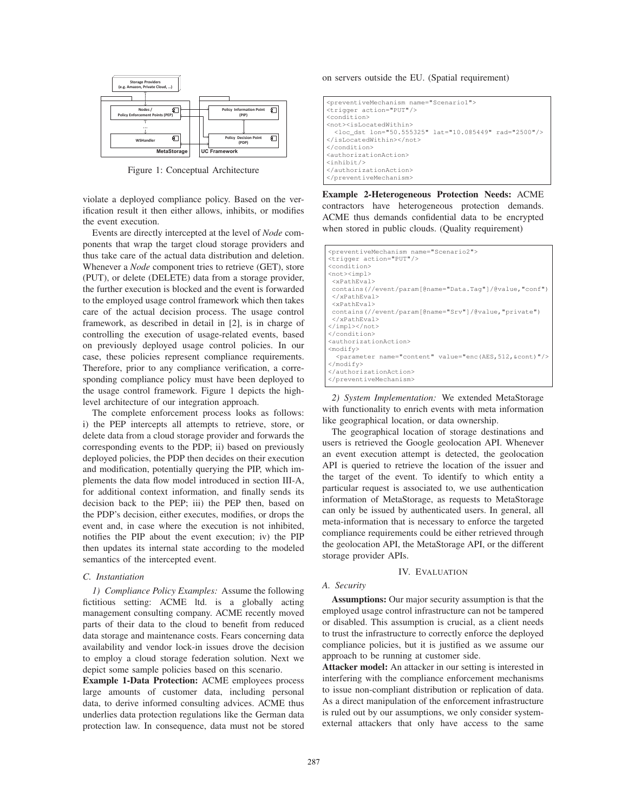

Figure 1: Conceptual Architecture

violate a deployed compliance policy. Based on the verification result it then either allows, inhibits, or modifies the event execution.

Events are directly intercepted at the level of *Node* components that wrap the target cloud storage providers and thus take care of the actual data distribution and deletion. Whenever a *Node* component tries to retrieve (GET), store (PUT), or delete (DELETE) data from a storage provider, the further execution is blocked and the event is forwarded to the employed usage control framework which then takes care of the actual decision process. The usage control framework, as described in detail in [2], is in charge of controlling the execution of usage-related events, based on previously deployed usage control policies. In our case, these policies represent compliance requirements. Therefore, prior to any compliance verification, a corresponding compliance policy must have been deployed to the usage control framework. Figure 1 depicts the highlevel architecture of our integration approach.

The complete enforcement process looks as follows: i) the PEP intercepts all attempts to retrieve, store, or delete data from a cloud storage provider and forwards the corresponding events to the PDP; ii) based on previously deployed policies, the PDP then decides on their execution and modification, potentially querying the PIP, which implements the data flow model introduced in section III-A, for additional context information, and finally sends its decision back to the PEP; iii) the PEP then, based on the PDP's decision, either executes, modifies, or drops the event and, in case where the execution is not inhibited, notifies the PIP about the event execution; iv) the PIP then updates its internal state according to the modeled semantics of the intercepted event.

### *C. Instantiation*

*1) Compliance Policy Examples:* Assume the following fictitious setting: ACME ltd. is a globally acting management consulting company. ACME recently moved parts of their data to the cloud to benefit from reduced data storage and maintenance costs. Fears concerning data availability and vendor lock-in issues drove the decision to employ a cloud storage federation solution. Next we depict some sample policies based on this scenario.

Example 1-Data Protection: ACME employees process large amounts of customer data, including personal data, to derive informed consulting advices. ACME thus underlies data protection regulations like the German data protection law. In consequence, data must not be stored on servers outside the EU. (Spatial requirement)

| <preventivemechanism name="Scenariol"><br/><trigger action="PUT"></trigger><br/><condition></condition></preventivemechanism> |  |
|-------------------------------------------------------------------------------------------------------------------------------|--|
| <not><islocatedwithin></islocatedwithin></not>                                                                                |  |
|                                                                                                                               |  |
| <loc dst="" lat="10.085449" lon="50.555325" rad="2500"></loc>                                                                 |  |
|                                                                                                                               |  |
|                                                                                                                               |  |
| <authorizationaction></authorizationaction>                                                                                   |  |
| $\langle$ inhibit/>                                                                                                           |  |
|                                                                                                                               |  |
|                                                                                                                               |  |

Example 2-Heterogeneous Protection Needs: ACME contractors have heterogeneous protection demands. ACME thus demands confidential data to be encrypted when stored in public clouds. (Quality requirement)

| <preventivemechanism name="Scenario2"></preventivemechanism>            |
|-------------------------------------------------------------------------|
| <trigger action="PUT"></trigger>                                        |
| <condition></condition>                                                 |
| <not><impl></impl></not>                                                |
| $<$ xPathEval>                                                          |
| contains(//event/param[@name="Data.Taq"]/@value,"conf")                 |
|                                                                         |
| $<$ xPathEval>                                                          |
| contains(//event/param[@name="Srv"]/@value,"private")                   |
|                                                                         |
|                                                                         |
|                                                                         |
| <authorizationaction></authorizationaction>                             |
| <modify></modify>                                                       |
| <parameter name="content" value="enc(AES, 512, &amp;cont)"></parameter> |
| $\langle$ /modify>                                                      |
|                                                                         |
|                                                                         |

*2) System Implementation:* We extended MetaStorage with functionality to enrich events with meta information like geographical location, or data ownership.

The geographical location of storage destinations and users is retrieved the Google geolocation API. Whenever an event execution attempt is detected, the geolocation API is queried to retrieve the location of the issuer and the target of the event. To identify to which entity a particular request is associated to, we use authentication information of MetaStorage, as requests to MetaStorage can only be issued by authenticated users. In general, all meta-information that is necessary to enforce the targeted compliance requirements could be either retrieved through the geolocation API, the MetaStorage API, or the different storage provider APIs.

# IV. EVALUATION

# *A. Security*

Assumptions: Our major security assumption is that the employed usage control infrastructure can not be tampered or disabled. This assumption is crucial, as a client needs to trust the infrastructure to correctly enforce the deployed compliance policies, but it is justified as we assume our approach to be running at customer side.

Attacker model: An attacker in our setting is interested in interfering with the compliance enforcement mechanisms to issue non-compliant distribution or replication of data. As a direct manipulation of the enforcement infrastructure is ruled out by our assumptions, we only consider systemexternal attackers that only have access to the same